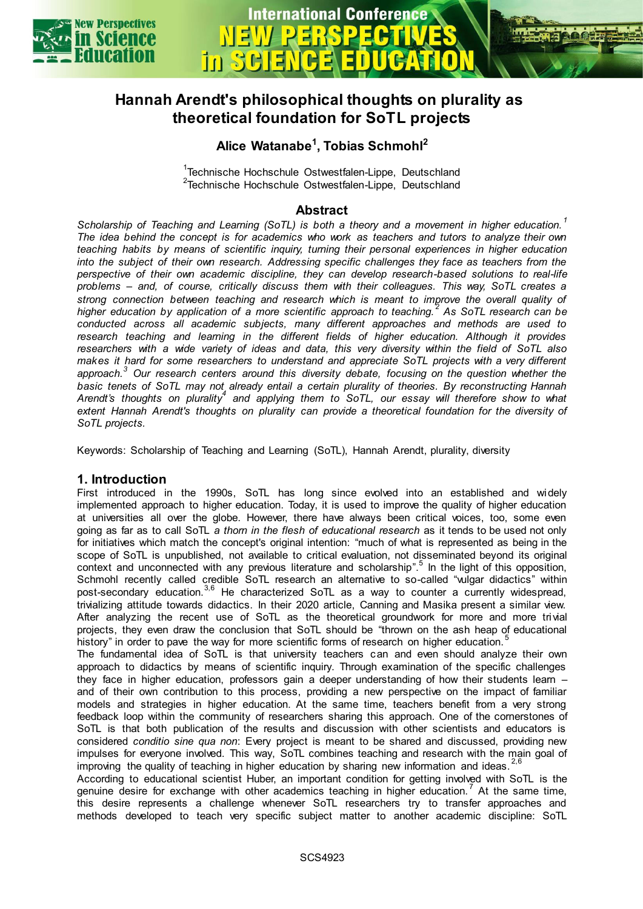

## **International Conference in SG**



### **Alice Watanabe<sup>1</sup> , Tobias Schmohl<sup>2</sup>**

<sup>1</sup>Technische Hochschule Ostwestfalen-Lippe, Deutschland <sup>2</sup>Technische Hochschule Ostwestfalen-Lippe, Deutschland

#### **Abstract**

*Scholarship of Teaching and Learning (SoTL) is both a theory and a movement in higher education. <sup>1</sup> The idea behind the concept is for academics who work as teachers and tutors to analyze their own teaching habits by means of scientific inquiry, turning their personal experiences in higher education into the subject of their own research. Addressing specific challenges they face as teachers from the perspective of their own academic discipline, they can develop research-based solutions to real-life problems – and, of course, critically discuss them with their colleagues. This way, SoTL creates a strong connection between teaching and research which is meant to improve the overall quality of higher education by application of a more scientific approach to teaching. <sup>2</sup> As SoTL research can be conducted across all academic subjects, many different approaches and methods are used to research teaching and learning in the different fields of higher education. Although it provides researchers with a wide variety of ideas and data, this very diversity within the field of SoTL also makes it hard for some researchers to understand and appreciate SoTL projects with a very different approach.<sup>3</sup> Our research centers around this diversity debate, focusing on the question whether the basic tenets of SoTL may not already entail a certain plurality of theories. By reconstructing Hannah*  Arendt's thoughts on plurality<sup>4</sup> and applying them to SoTL, our essay will therefore show to what *extent Hannah Arendt's thoughts on plurality can provide a theoretical foundation for the diversity of SoTL projects.*

Keywords: Scholarship of Teaching and Learning (SoTL), Hannah Arendt, plurality, diversity

#### **1. Introduction**

First introduced in the 1990s, SoTL has long since evolved into an established and widely implemented approach to higher education. Today, it is used to improve the quality of higher education at universities all over the globe. However, there have always been critical voices, too, some even going as far as to call SoTL *a thorn in the flesh of educational research* as it tends to be used not only for initiatives which match the concept's original intention: "much of what is represented as being in the scope of SoTL is unpublished, not available to critical evaluation, not disseminated beyond its original context and unconnected with any previous literature and scholarship".<sup>5</sup> In the light of this opposition, Schmohl recently called credible SoTL research an alternative to so-called "vulgar didactics" within post-secondary education.<sup>3,6</sup> He characterized SoTL as a way to counter a currently widespread, trivializing attitude towards didactics. In their 2020 article, Canning and Masika present a similar view. After analyzing the recent use of SoTL as the theoretical groundwork for more and more trivial projects, they even draw the conclusion that SoTL should be "thrown on the ash heap of educational history" in order to pave the way for more scientific forms of research on higher education.

The fundamental idea of SoTL is that university teachers can and even should analyze their own approach to didactics by means of scientific inquiry. Through examination of the specific challenges they face in higher education, professors gain a deeper understanding of how their students learn and of their own contribution to this process, providing a new perspective on the impact of familiar models and strategies in higher education. At the same time, teachers benefit from a very strong feedback loop within the community of researchers sharing this approach. One of the cornerstones of SoTL is that both publication of the results and discussion with other scientists and educators is considered *conditio sine qua non*: Every project is meant to be shared and discussed, providing new impulses for everyone involved. This way, SoTL combines teaching and research with the main goal of improving the quality of teaching in higher education by sharing new information and ideas.

According to educational scientist Huber, an important condition for getting involved with SoTL is the genuine desire for exchange with other academics teaching in higher education.<sup>7</sup> At the same time, this desire represents a challenge whenever SoTL researchers try to transfer approaches and methods developed to teach very specific subject matter to another academic discipline: SoTL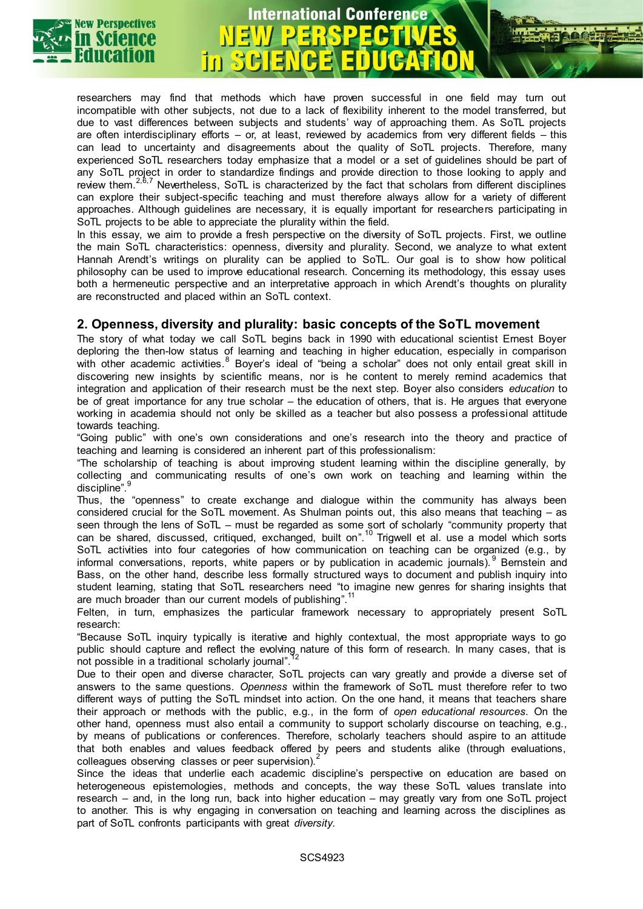

# **International Conference**

researchers may find that methods which have proven successful in one field may turn out incompatible with other subjects, not due to a lack of flexibility inherent to the model transferred, but due to vast differences between subjects and students' way of approaching them. As SoTL projects are often interdisciplinary efforts – or, at least, reviewed by academics from very different fields – this can lead to uncertainty and disagreements about the quality of SoTL projects. Therefore, many experienced SoTL researchers today emphasize that a model or a set of guidelines should be part of any SoTL project in order to standardize findings and provide direction to those looking to apply and review them.<sup>2,6,7</sup> Nevertheless, SoTL is characterized by the fact that scholars from different disciplines can explore their subject-specific teaching and must therefore always allow for a variety of different approaches. Although guidelines are necessary, it is equally important for researchers participating in SoTL projects to be able to appreciate the plurality within the field.

In this essay, we aim to provide a fresh perspective on the diversity of SoTL projects. First, we outline the main SoTL characteristics: openness, diversity and plurality. Second, we analyze to what extent Hannah Arendt's writings on plurality can be applied to SoTL. Our goal is to show how political philosophy can be used to improve educational research. Concerning its methodology, this essay uses both a hermeneutic perspective and an interpretative approach in which Arendt's thoughts on plurality are reconstructed and placed within an SoTL context.

#### **2. Openness, diversity and plurality: basic concepts of the SoTL movement**

The story of what today we call SoTL begins back in 1990 with educational scientist Ernest Boyer deploring the then-low status of learning and teaching in higher education, especially in comparison with other academic activities. $^8$  Boyer's ideal of "being a scholar" does not only entail great skill in discovering new insights by scientific means, nor is he content to merely remind academics that integration and application of their research must be the next step. Boyer also considers *education* to be of great importance for any true scholar – the education of others, that is. He argues that everyone working in academia should not only be skilled as a teacher but also possess a professional attitude towards teaching.

"Going public" with one's own considerations and one's research into the theory and practice of teaching and learning is considered an inherent part of this professionalism:

"The scholarship of teaching is about improving student learning within the discipline generally, by collecting and communicating results of one's own work on teaching and learning within the discipline". 9

Thus, the "openness" to create exchange and dialogue within the community has always been considered crucial for the SoTL movement. As Shulman points out, this also means that teaching – as seen through the lens of SoTL – must be regarded as some sort of scholarly "community property that can be shared, discussed, critiqued, exchanged, built on".<sup>10</sup> Trigwell et al. use a model which sorts SoTL activities into four categories of how communication on teaching can be organized (e.g., by informal conversations, reports, white papers or by publication in academic journals).<sup>9</sup> Bernstein and Bass, on the other hand, describe less formally structured ways to document and publish inquiry into student learning, stating that SoTL researchers need "to imagine new genres for sharing insights that are much broader than our current models of publishing".<sup>11</sup>

Felten, in turn, emphasizes the particular framework necessary to appropriately present SoTL research:

"Because SoTL inquiry typically is iterative and highly contextual, the most appropriate ways to go public should capture and reflect the evolving nature of this form of research. In many cases, that is<br>not possible in a traditional scholarly journal" <sup>12</sup> not possible in a traditional scholarly journal".

Due to their open and diverse character, SoTL projects can vary greatly and provide a diverse set of answers to the same questions. *Openness* within the framework of SoTL must therefore refer to two different ways of putting the SoTL mindset into action. On the one hand, it means that teachers share their approach or methods with the public, e.g., in the form of *open educational resources.* On the other hand, openness must also entail a community to support scholarly discourse on teaching, e.g., by means of publications or conferences. Therefore, scholarly teachers should aspire to an attitude that both enables and values feedback offered by peers and students alike (through evaluations, colleagues observing classes or peer supervision).

Since the ideas that underlie each academic discipline's perspective on education are based on heterogeneous epistemologies, methods and concepts, the way these SoTL values translate into research – and, in the long run, back into higher education – may greatly vary from one SoTL project to another. This is why engaging in conversation on teaching and learning across the disciplines as part of SoTL confronts participants with great *diversity*.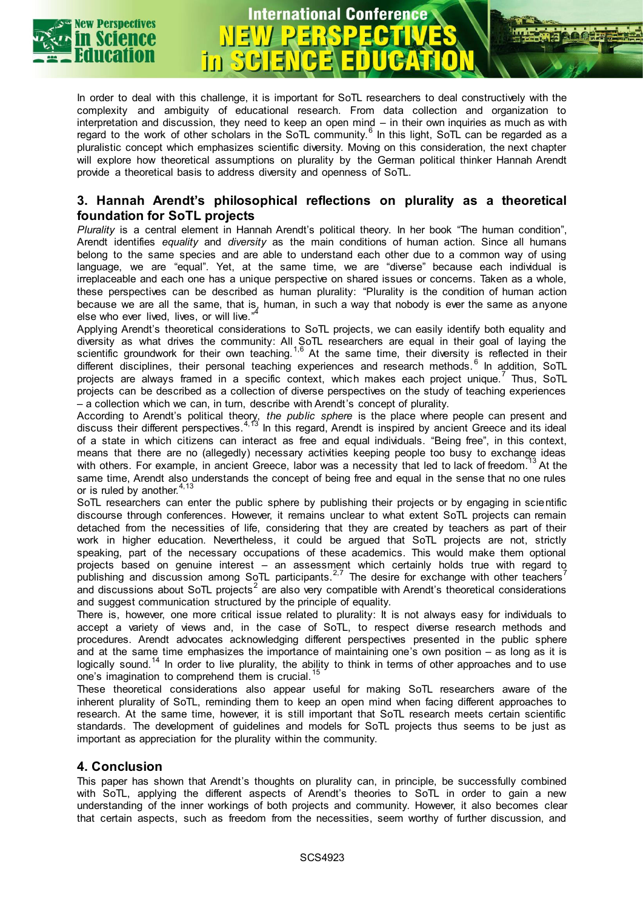

In order to deal with this challenge, it is important for SoTL researchers to deal constructively with the complexity and ambiguity of educational research. From data collection and organization to interpretation and discussion, they need to keep an open mind – in their own inquiries as much as with regard to the work of other scholars in the SoTL community. $^6$  In this light, SoTL can be regarded as a pluralistic concept which emphasizes scientific diversity. Moving on this consideration, the next chapter will explore how theoretical assumptions on plurality by the German political thinker Hannah Arendt provide a theoretical basis to address diversity and openness of SoTL.

**International Conference** 

#### **3. Hannah Arendt's philosophical reflections on plurality as a theoretical foundation for SoTL projects**

*Plurality* is a central element in Hannah Arendt's political theory. In her book "The human condition", Arendt identifies *equality* and *diversity* as the main conditions of human action. Since all humans belong to the same species and are able to understand each other due to a common way of using language, we are "equal". Yet, at the same time, we are "diverse" because each individual is irreplaceable and each one has a unique perspective on shared issues or concerns. Taken as a whole, these perspectives can be described as human plurality: "Plurality is the condition of human action because we are all the same, that is, human, in such a way that nobody is ever the same as anyone<br>elso who over lived, lives, or will live "<sup>4</sup> else who ever lived, lives, or will live."

Applying Arendt's theoretical considerations to SoTL projects, we can easily identify both equality and diversity as what drives the community: All SoTL researchers are equal in their goal of laying the scientific groundwork for their own teaching.<sup>1,6</sup> At the same time, their diversity is reflected in their different disciplines, their personal teaching experiences and research methods. $^6$  ln addition, SoTL projects are always framed in a specific context, which makes each project unique. Thus, SoTL projects can be described as a collection of diverse perspectives on the study of teaching experiences – a collection which we can, in turn, describe with Arendt's concept of plurality.

According to Arendt's political theory, *the public sphere* is the place where people can present and discuss their different perspectives.<sup>4,13</sup> In this regard, Arendt is inspired by ancient Greece and its ideal of a state in which citizens can interact as free and equal individuals. "Being free", in this context, means that there are no (allegedly) necessary activities keeping people too busy to exchange ideas with others. For example, in ancient Greece, labor was a necessity that led to lack of freedom.<sup>13</sup> At the same time, Arendt also understands the concept of being free and equal in the sense that no one rules or is ruled by another.  $4,13$ 

SoTL researchers can enter the public sphere by publishing their projects or by engaging in scientific discourse through conferences. However, it remains unclear to what extent SoTL projects can remain detached from the necessities of life, considering that they are created by teachers as part of their work in higher education. Nevertheless, it could be argued that SoTL projects are not, strictly speaking, part of the necessary occupations of these academics. This would make them optional projects based on genuine interest – an assessment which certainly holds true with regard to publishing and discussion among SoTL participants.<sup>2,7</sup> The desire for exchange with other teachers<sup>7</sup> and discussions about SoTL projects $^2$  are also very compatible with Arendt's theoretical considerations and suggest communication structured by the principle of equality.

There is, however, one more critical issue related to plurality: It is not always easy for individuals to accept a variety of views and, in the case of SoTL, to respect diverse research methods and procedures. Arendt advocates acknowledging different perspectives presented in the public sphere and at the same time emphasizes the importance of maintaining one's own position – as long as it is logically sound.<sup>14</sup> In order to live plurality, the ability to think in terms of other approaches and to use one's imagination to comprehend them is crucial.<sup>15</sup>

These theoretical considerations also appear useful for making SoTL researchers aware of the inherent plurality of SoTL, reminding them to keep an open mind when facing different approaches to research. At the same time, however, it is still important that SoTL research meets certain scientific standards. The development of guidelines and models for SoTL projects thus seems to be just as important as appreciation for the plurality within the community.

#### **4. Conclusion**

This paper has shown that Arendt's thoughts on plurality can, in principle, be successfully combined with SoTL, applying the different aspects of Arendt's theories to SoTL in order to gain a new understanding of the inner workings of both projects and community. However, it also becomes clear that certain aspects, such as freedom from the necessities, seem worthy of further discussion, and